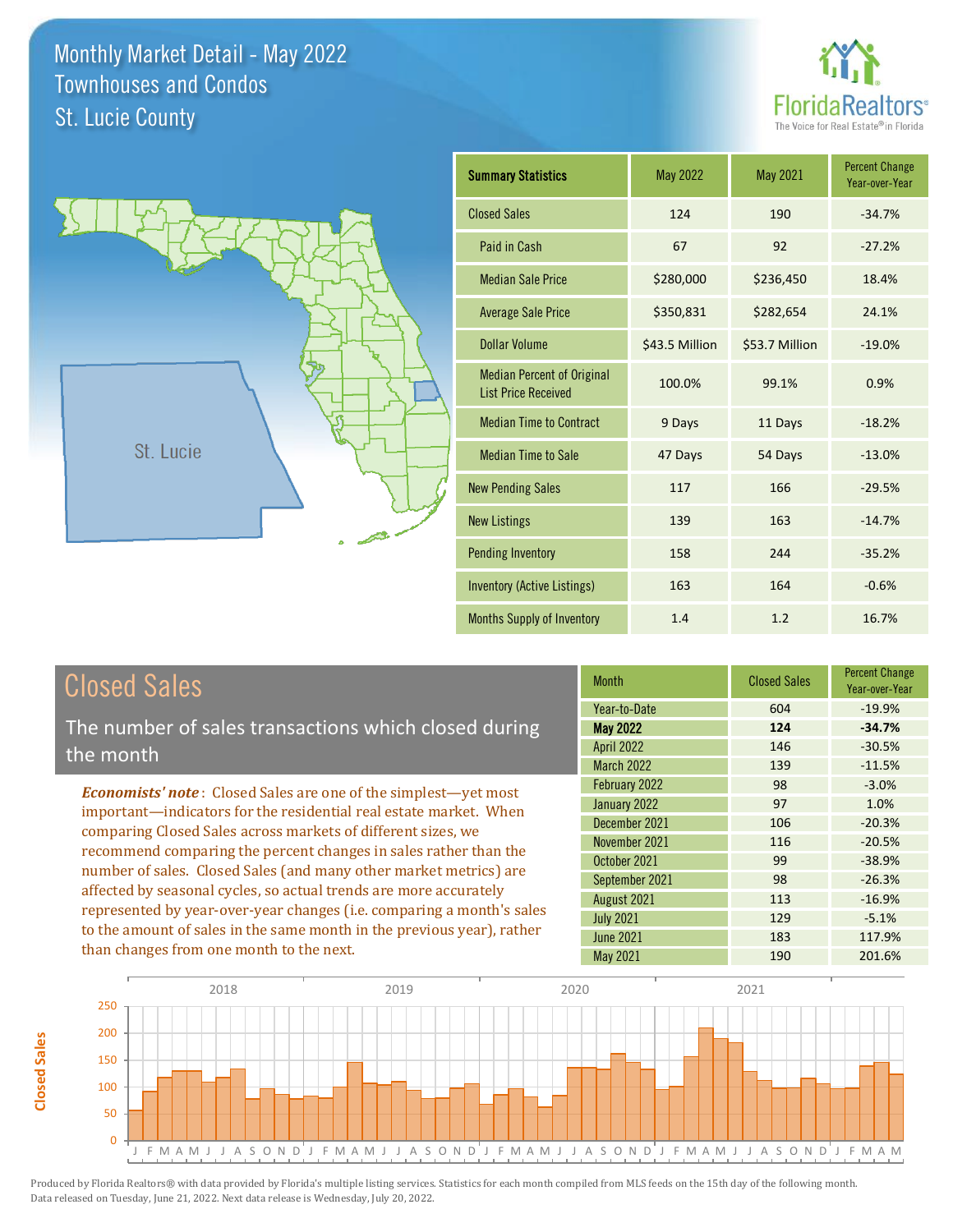



| <b>Summary Statistics</b>                                       | <b>May 2022</b><br><b>May 2021</b> |                | <b>Percent Change</b><br>Year-over-Year |
|-----------------------------------------------------------------|------------------------------------|----------------|-----------------------------------------|
| <b>Closed Sales</b>                                             | 124                                | 190            | $-34.7%$                                |
| Paid in Cash                                                    | 67                                 | 92             | $-27.2%$                                |
| <b>Median Sale Price</b>                                        | \$280,000                          | \$236,450      | 18.4%                                   |
| <b>Average Sale Price</b>                                       | \$350,831                          | \$282,654      | 24.1%                                   |
| Dollar Volume                                                   | \$43.5 Million                     | \$53.7 Million | $-19.0%$                                |
| <b>Median Percent of Original</b><br><b>List Price Received</b> | 100.0%                             | 99.1%          | 0.9%                                    |
| <b>Median Time to Contract</b>                                  | 9 Days                             | 11 Days        | $-18.2%$                                |
| <b>Median Time to Sale</b>                                      | 47 Days                            | 54 Days        | $-13.0%$                                |
| <b>New Pending Sales</b>                                        | 117                                | 166            | $-29.5%$                                |
| <b>New Listings</b>                                             | 139                                | 163            | $-14.7%$                                |
| <b>Pending Inventory</b>                                        | 158                                | 244            | $-35.2%$                                |
| <b>Inventory (Active Listings)</b>                              | 163                                | 164            | $-0.6%$                                 |
| Months Supply of Inventory                                      | 1.4                                | 1.2            | 16.7%                                   |

# Closed Sales

The number of sales transactions which closed during the month

*Economists' note* : Closed Sales are one of the simplest—yet most important—indicators for the residential real estate market. When comparing Closed Sales across markets of different sizes, we recommend comparing the percent changes in sales rather than the number of sales. Closed Sales (and many other market metrics) are affected by seasonal cycles, so actual trends are more accurately represented by year-over-year changes (i.e. comparing a month's sales to the amount of sales in the same month in the previous year), rather than changes from one month to the next.

| <b>Month</b>      | <b>Closed Sales</b> | <b>Percent Change</b><br>Year-over-Year |  |
|-------------------|---------------------|-----------------------------------------|--|
| Year-to-Date      | 604                 | $-19.9%$                                |  |
| <b>May 2022</b>   | 124                 | $-34.7%$                                |  |
| <b>April 2022</b> | 146                 | $-30.5%$                                |  |
| <b>March 2022</b> | 139                 | $-11.5%$                                |  |
| February 2022     | 98                  | $-3.0%$                                 |  |
| January 2022      | 97                  | 1.0%                                    |  |
| December 2021     | 106                 | $-20.3%$                                |  |
| November 2021     | 116                 | $-20.5%$                                |  |
| October 2021      | 99                  | $-38.9%$                                |  |
| September 2021    | 98                  | $-26.3%$                                |  |
| August 2021       | 113                 | $-16.9%$                                |  |
| <b>July 2021</b>  | 129                 | $-5.1%$                                 |  |
| <b>June 2021</b>  | 183                 | 117.9%                                  |  |
| May 2021          | 190                 | 201.6%                                  |  |



**Closed Sales**

**Closed Sales**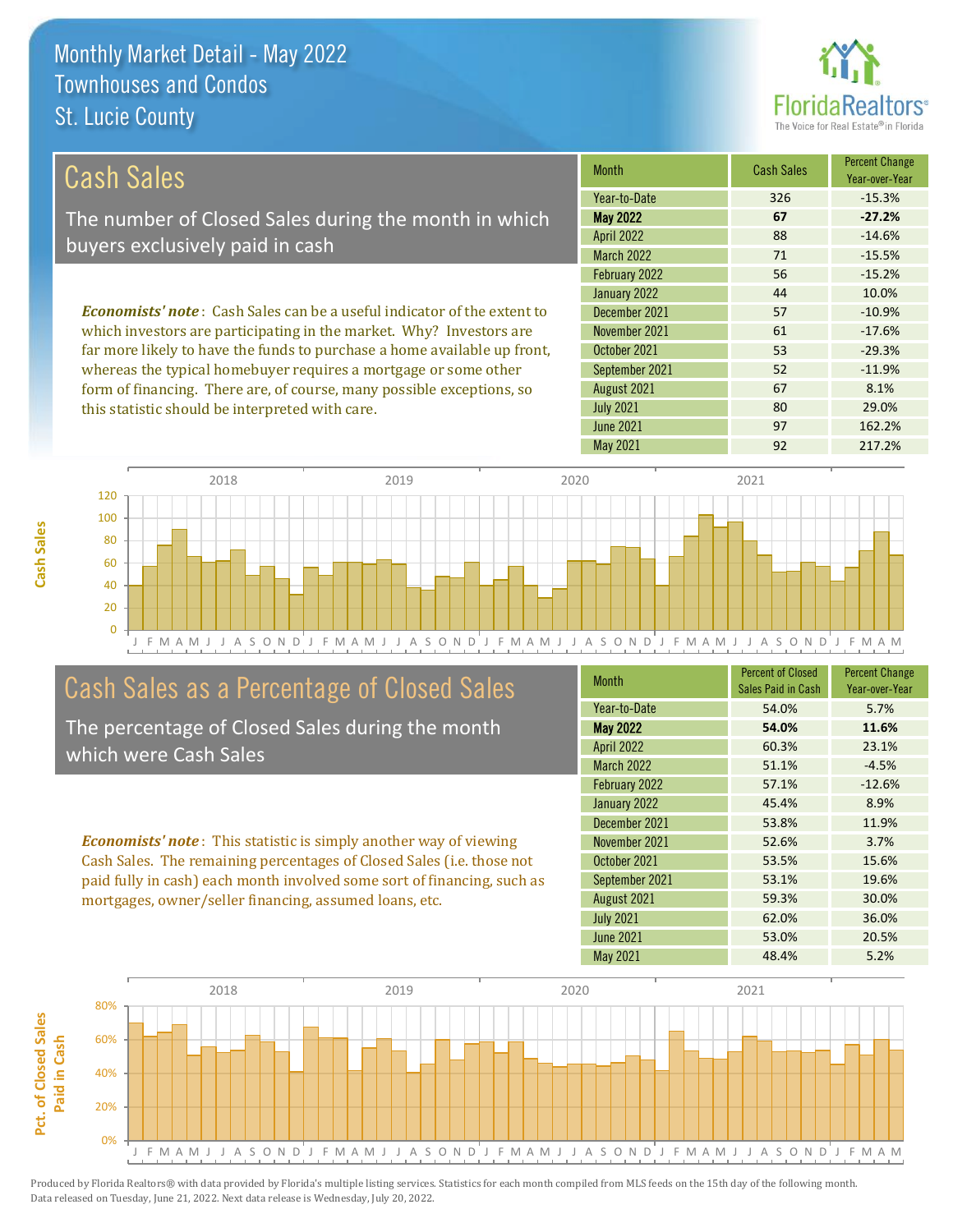

| Cash Sales                                                                                                                   | <b>Month</b>                   | <b>Cash Sales</b> | <b>Percent Change</b><br>Year-over-Year      |
|------------------------------------------------------------------------------------------------------------------------------|--------------------------------|-------------------|----------------------------------------------|
|                                                                                                                              | Year-to-Date                   | 326               | $-15.3%$                                     |
| The number of Closed Sales during the month in which                                                                         | <b>May 2022</b>                | 67                | $-27.2%$                                     |
| buyers exclusively paid in cash                                                                                              | <b>April 2022</b>              | 88                | $-14.6%$                                     |
|                                                                                                                              | March 2022                     | 71                | $-15.5%$                                     |
|                                                                                                                              | February 2022                  | 56                | $-15.2%$                                     |
|                                                                                                                              | January 2022                   | 44                | 10.0%                                        |
| <b>Economists' note:</b> Cash Sales can be a useful indicator of the extent to                                               | December 2021                  | 57                | $-10.9%$                                     |
| which investors are participating in the market. Why? Investors are                                                          | November 2021                  | 61                | $-17.6%$                                     |
| far more likely to have the funds to purchase a home available up front,                                                     | October 2021                   | 53                | $-29.3%$                                     |
| $\mathbf{1}$ , and a set of $\mathbf{1}$ , and a set of $\mathbf{1}$ , and a set of $\mathbf{1}$ , and a set of $\mathbf{1}$ | $0 \quad 1 \quad 1 \quad 0001$ | $-2$              | $\overline{A}$ $\overline{A}$ $\overline{A}$ |

whereas the typical homebuyer requires a mortgage or some other form of financing. There are, of course, many possible exceptions, so this statistic should be interpreted with care.

| Year-to-Date      | 326 | $-15.3%$ |
|-------------------|-----|----------|
| <b>May 2022</b>   | 67  | $-27.2%$ |
| <b>April 2022</b> | 88  | $-14.6%$ |
| <b>March 2022</b> | 71  | $-15.5%$ |
| February 2022     | 56  | $-15.2%$ |
| January 2022      | 44  | 10.0%    |
| December 2021     | 57  | $-10.9%$ |
| November 2021     | 61  | $-17.6%$ |
| October 2021      | 53  | $-29.3%$ |
| September 2021    | 52  | $-11.9%$ |
| August 2021       | 67  | 8.1%     |
| <b>July 2021</b>  | 80  | 29.0%    |
| <b>June 2021</b>  | 97  | 162.2%   |
| <b>May 2021</b>   | 92  | 217.2%   |



## Cash Sales as a Percentage of Closed Sales

The percentage of Closed Sales during the month which were Cash Sales

*Economists' note* : This statistic is simply another way of viewing Cash Sales. The remaining percentages of Closed Sales (i.e. those not paid fully in cash) each month involved some sort of financing, such as mortgages, owner/seller financing, assumed loans, etc.

| <b>Month</b>      | <b>Percent of Closed</b><br>Sales Paid in Cash | <b>Percent Change</b><br>Year-over-Year |
|-------------------|------------------------------------------------|-----------------------------------------|
| Year-to-Date      | 54.0%                                          | 5.7%                                    |
| <b>May 2022</b>   | 54.0%                                          | 11.6%                                   |
| <b>April 2022</b> | 60.3%                                          | 23.1%                                   |
| <b>March 2022</b> | 51.1%                                          | $-4.5%$                                 |
| February 2022     | 57.1%                                          | $-12.6%$                                |
| January 2022      | 45.4%                                          | 8.9%                                    |
| December 2021     | 53.8%                                          | 11.9%                                   |
| November 2021     | 52.6%                                          | 3.7%                                    |
| October 2021      | 53.5%                                          | 15.6%                                   |
| September 2021    | 53.1%                                          | 19.6%                                   |
| August 2021       | 59.3%                                          | 30.0%                                   |
| <b>July 2021</b>  | 62.0%                                          | 36.0%                                   |
| <b>June 2021</b>  | 53.0%                                          | 20.5%                                   |
| May 2021          | 48.4%                                          | 5.2%                                    |

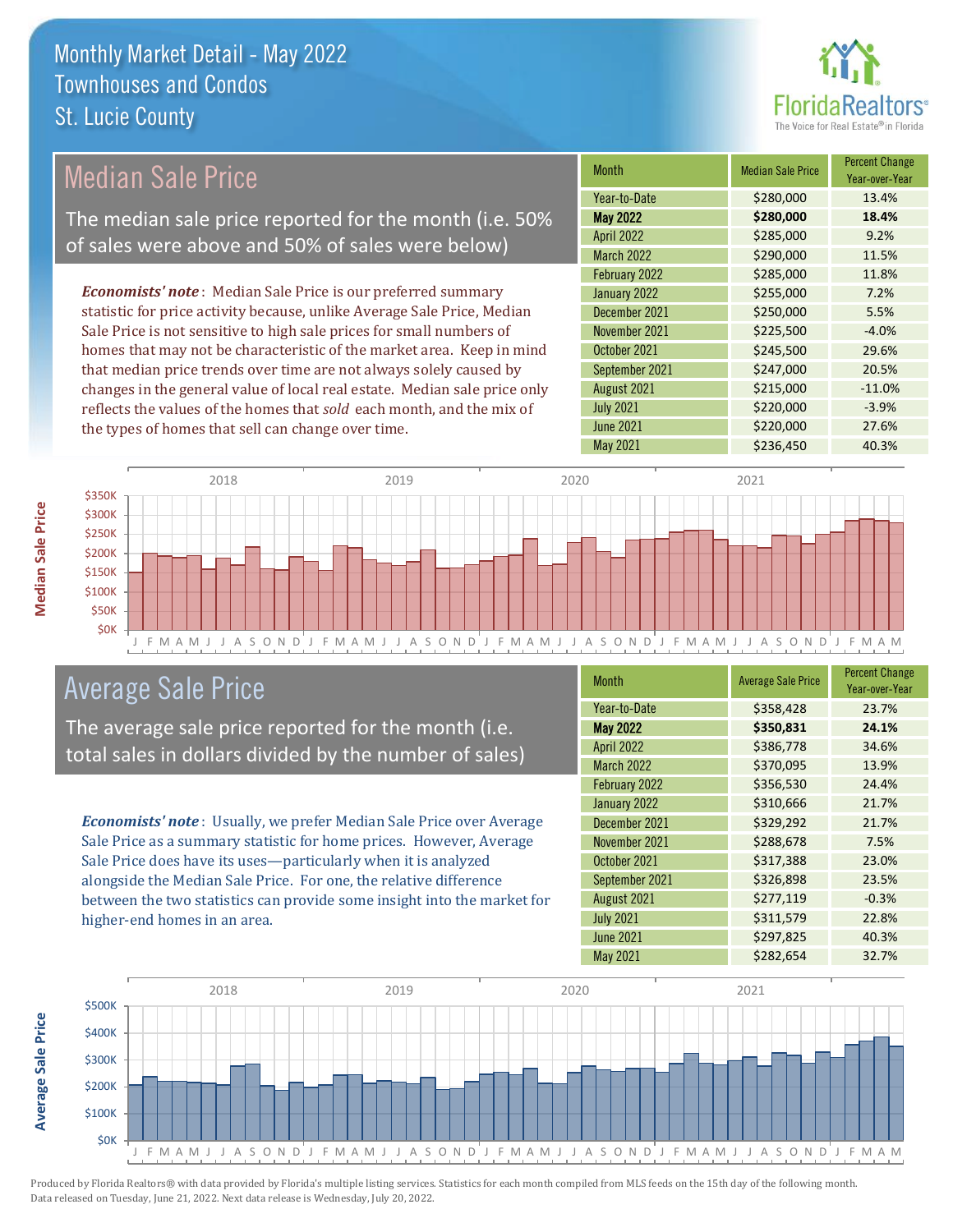

### Median Sale Price

The median sale price reported for the month (i.e. 50% of sales were above and 50% of sales were below)

*Economists' note* : Median Sale Price is our preferred summary statistic for price activity because, unlike Average Sale Price, Median Sale Price is not sensitive to high sale prices for small numbers of homes that may not be characteristic of the market area. Keep in mind that median price trends over time are not always solely caused by changes in the general value of local real estate. Median sale price only reflects the values of the homes that *sold* each month, and the mix of the types of homes that sell can change over time.

| <b>Month</b>      | <b>Median Sale Price</b> | <b>Percent Change</b><br>Year-over-Year |
|-------------------|--------------------------|-----------------------------------------|
| Year-to-Date      | \$280,000                | 13.4%                                   |
| <b>May 2022</b>   | \$280,000                | 18.4%                                   |
| <b>April 2022</b> | \$285,000                | 9.2%                                    |
| <b>March 2022</b> | \$290,000                | 11.5%                                   |
| February 2022     | \$285,000                | 11.8%                                   |
| January 2022      | \$255,000                | 7.2%                                    |
| December 2021     | \$250,000                | 5.5%                                    |
| November 2021     | \$225,500                | $-4.0%$                                 |
| October 2021      | \$245,500                | 29.6%                                   |
| September 2021    | \$247,000                | 20.5%                                   |
| August 2021       | \$215,000                | $-11.0%$                                |
| <b>July 2021</b>  | \$220,000                | $-3.9%$                                 |
| <b>June 2021</b>  | \$220,000                | 27.6%                                   |
| May 2021          | \$236,450                | 40.3%                                   |



### Average Sale Price

The average sale price reported for the month (i.e. total sales in dollars divided by the number of sales)

*Economists' note* : Usually, we prefer Median Sale Price over Average Sale Price as a summary statistic for home prices. However, Average Sale Price does have its uses—particularly when it is analyzed alongside the Median Sale Price. For one, the relative difference between the two statistics can provide some insight into the market for higher-end homes in an area.

| Month             | <b>Average Sale Price</b> | <b>Percent Change</b><br>Year-over-Year |
|-------------------|---------------------------|-----------------------------------------|
| Year-to-Date      | \$358,428                 | 23.7%                                   |
| <b>May 2022</b>   | \$350,831                 | 24.1%                                   |
| <b>April 2022</b> | \$386,778                 | 34.6%                                   |
| <b>March 2022</b> | \$370,095                 | 13.9%                                   |
| February 2022     | \$356,530                 | 24.4%                                   |
| January 2022      | \$310,666                 | 21.7%                                   |
| December 2021     | \$329,292                 | 21.7%                                   |
| November 2021     | \$288,678                 | 7.5%                                    |
| October 2021      | \$317,388                 | 23.0%                                   |
| September 2021    | \$326,898                 | 23.5%                                   |
| August 2021       | \$277,119                 | $-0.3%$                                 |
| <b>July 2021</b>  | \$311,579                 | 22.8%                                   |
| <b>June 2021</b>  | \$297,825                 | 40.3%                                   |
| May 2021          | \$282,654                 | 32.7%                                   |

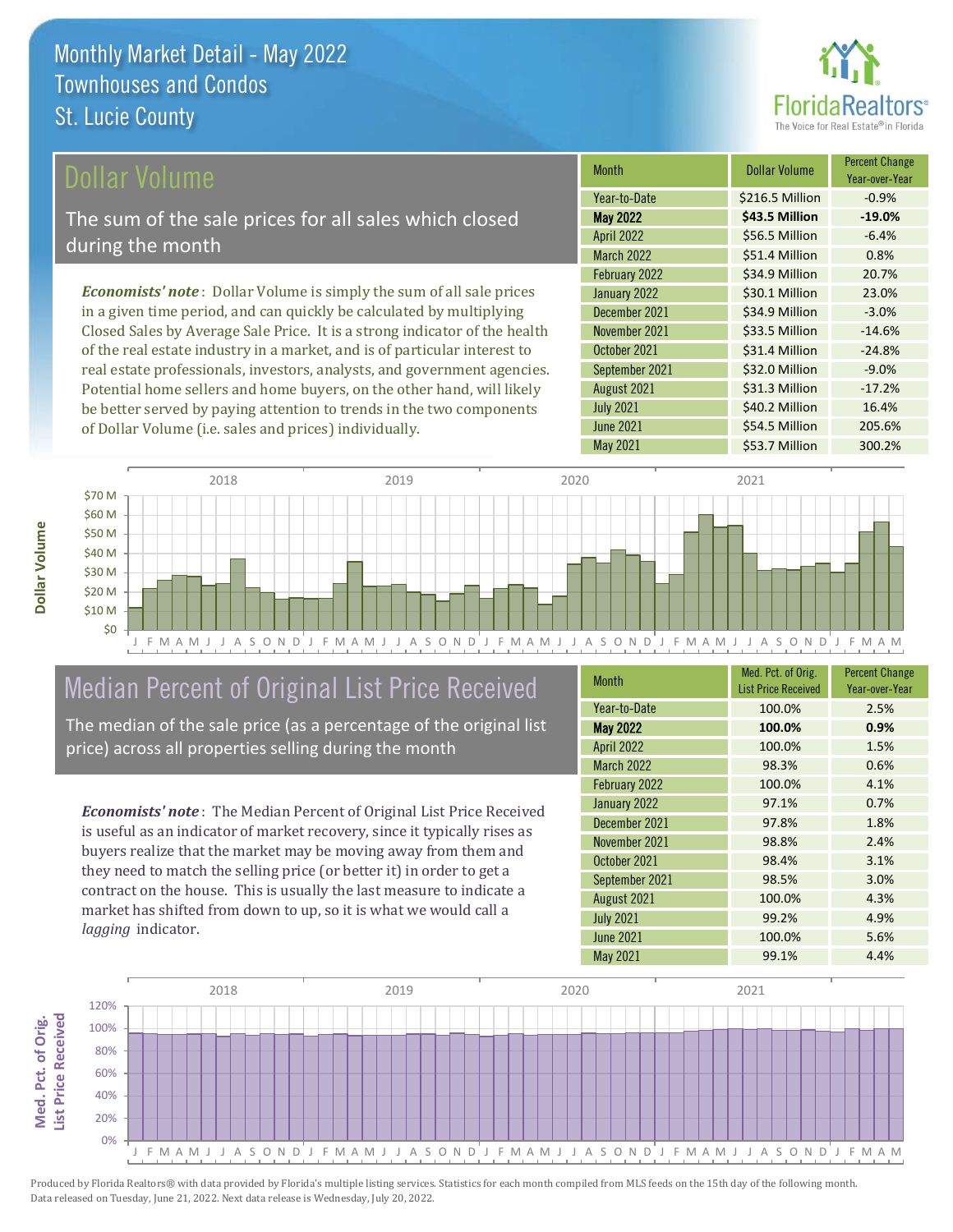

### ollar Volume

The sum of the sale prices for all sales which closed during the month

*Economists' note* : Dollar Volume is simply the sum of all sale prices in a given time period, and can quickly be calculated by multiplying Closed Sales by Average Sale Price. It is a strong indicator of the health of the real estate industry in a market, and is of particular interest to real estate professionals, investors, analysts, and government agencies. Potential home sellers and home buyers, on the other hand, will likely be better served by paying attention to trends in the two components of Dollar Volume (i.e. sales and prices) individually.

| Month             | <b>Dollar Volume</b> | <b>Percent Change</b><br>Year-over-Year |
|-------------------|----------------------|-----------------------------------------|
| Year-to-Date      | \$216.5 Million      | $-0.9%$                                 |
| <b>May 2022</b>   | \$43.5 Million       | $-19.0%$                                |
| <b>April 2022</b> | \$56.5 Million       | $-6.4%$                                 |
| <b>March 2022</b> | \$51.4 Million       | 0.8%                                    |
| February 2022     | \$34.9 Million       | 20.7%                                   |
| January 2022      | \$30.1 Million       | 23.0%                                   |
| December 2021     | \$34.9 Million       | $-3.0%$                                 |
| November 2021     | \$33.5 Million       | $-14.6%$                                |
| October 2021      | \$31.4 Million       | $-24.8%$                                |
| September 2021    | \$32.0 Million       | $-9.0%$                                 |
| August 2021       | \$31.3 Million       | $-17.2%$                                |
| <b>July 2021</b>  | \$40.2 Million       | 16.4%                                   |
| <b>June 2021</b>  | \$54.5 Million       | 205.6%                                  |
| <b>May 2021</b>   | \$53.7 Million       | 300.2%                                  |



### Median Percent of Original List Price Received

The median of the sale price (as a percentage of the original list price) across all properties selling during the month

*Economists' note* : The Median Percent of Original List Price Received is useful as an indicator of market recovery, since it typically rises as buyers realize that the market may be moving away from them and they need to match the selling price (or better it) in order to get a contract on the house. This is usually the last measure to indicate a market has shifted from down to up, so it is what we would call a *lagging* indicator.

| <b>Month</b>      | Med. Pct. of Orig.<br><b>List Price Received</b> | <b>Percent Change</b><br>Year-over-Year |
|-------------------|--------------------------------------------------|-----------------------------------------|
| Year-to-Date      | 100.0%                                           | 2.5%                                    |
| <b>May 2022</b>   | 100.0%                                           | 0.9%                                    |
| <b>April 2022</b> | 100.0%                                           | 1.5%                                    |
| March 2022        | 98.3%                                            | 0.6%                                    |
| February 2022     | 100.0%                                           | 4.1%                                    |
| January 2022      | 97.1%                                            | 0.7%                                    |
| December 2021     | 97.8%                                            | 1.8%                                    |
| November 2021     | 98.8%                                            | 2.4%                                    |
| October 2021      | 98.4%                                            | 3.1%                                    |
| September 2021    | 98.5%                                            | 3.0%                                    |
| August 2021       | 100.0%                                           | 4.3%                                    |
| <b>July 2021</b>  | 99.2%                                            | 4.9%                                    |
| <b>June 2021</b>  | 100.0%                                           | 5.6%                                    |
| May 2021          | 99.1%                                            | 4.4%                                    |

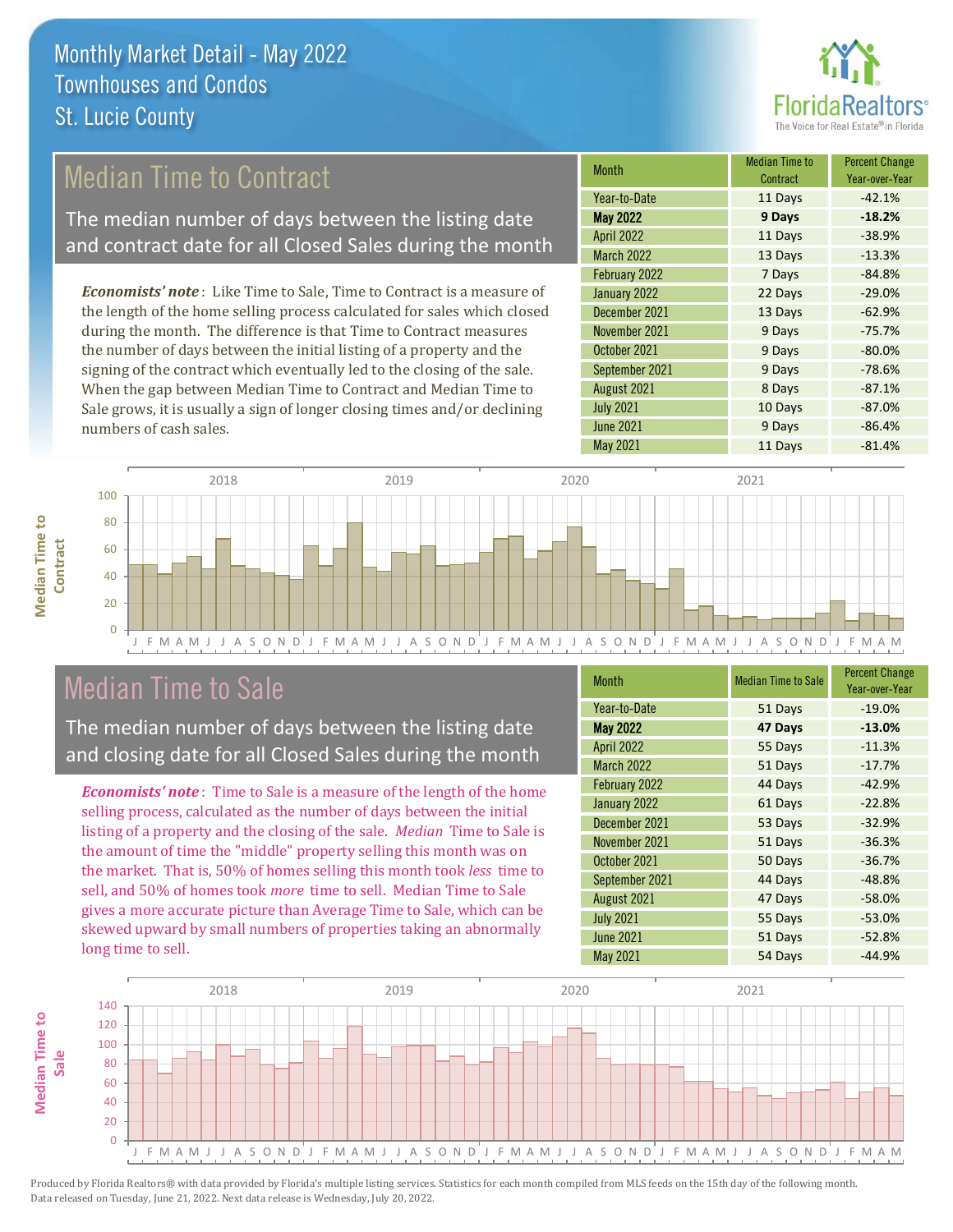

### Median Time to Contract

The median number of days between the listing date and contract date for all Closed Sales during the month

*Economists' note* : Like Time to Sale, Time to Contract is a measure of the length of the home selling process calculated for sales which closed during the month. The difference is that Time to Contract measures the number of days between the initial listing of a property and the signing of the contract which eventually led to the closing of the sale. When the gap between Median Time to Contract and Median Time to Sale grows, it is usually a sign of longer closing times and/or declining numbers of cash sales.

| Month             | <b>Median Time to</b><br>Contract | <b>Percent Change</b><br>Year-over-Year |
|-------------------|-----------------------------------|-----------------------------------------|
| Year-to-Date      | 11 Days                           | $-42.1%$                                |
| <b>May 2022</b>   | 9 Days                            | $-18.2%$                                |
| <b>April 2022</b> | 11 Days                           | $-38.9%$                                |
| <b>March 2022</b> | 13 Days                           | $-13.3%$                                |
| February 2022     | 7 Days                            | $-84.8%$                                |
| January 2022      | 22 Days                           | $-29.0%$                                |
| December 2021     | 13 Days                           | $-62.9%$                                |
| November 2021     | 9 Days                            | $-75.7%$                                |
| October 2021      | 9 Days                            | $-80.0%$                                |
| September 2021    | 9 Days                            | $-78.6%$                                |
| August 2021       | 8 Days                            | $-87.1%$                                |
| <b>July 2021</b>  | 10 Days                           | $-87.0%$                                |
| <b>June 2021</b>  | 9 Days                            | $-86.4%$                                |
| <b>May 2021</b>   | 11 Days                           | $-81.4%$                                |



### Median Time to Sale

**Median Time to** 

**Median Time to** 

The median number of days between the listing date and closing date for all Closed Sales during the month

*Economists' note* : Time to Sale is a measure of the length of the home selling process, calculated as the number of days between the initial listing of a property and the closing of the sale. *Median* Time to Sale is the amount of time the "middle" property selling this month was on the market. That is, 50% of homes selling this month took *less* time to sell, and 50% of homes took *more* time to sell. Median Time to Sale gives a more accurate picture than Average Time to Sale, which can be skewed upward by small numbers of properties taking an abnormally long time to sell.

| <b>Month</b>      | <b>Median Time to Sale</b> | <b>Percent Change</b><br>Year-over-Year |
|-------------------|----------------------------|-----------------------------------------|
| Year-to-Date      | 51 Days                    | $-19.0%$                                |
| <b>May 2022</b>   | 47 Days                    | $-13.0%$                                |
| <b>April 2022</b> | 55 Days                    | $-11.3%$                                |
| <b>March 2022</b> | 51 Days                    | $-17.7%$                                |
| February 2022     | 44 Days                    | $-42.9%$                                |
| January 2022      | 61 Days                    | $-22.8%$                                |
| December 2021     | 53 Days                    | $-32.9%$                                |
| November 2021     | 51 Days                    | $-36.3%$                                |
| October 2021      | 50 Days                    | $-36.7%$                                |
| September 2021    | 44 Days                    | $-48.8%$                                |
| August 2021       | 47 Days                    | $-58.0%$                                |
| <b>July 2021</b>  | 55 Days                    | $-53.0%$                                |
| <b>June 2021</b>  | 51 Days                    | $-52.8%$                                |
| May 2021          | 54 Days                    | $-44.9%$                                |

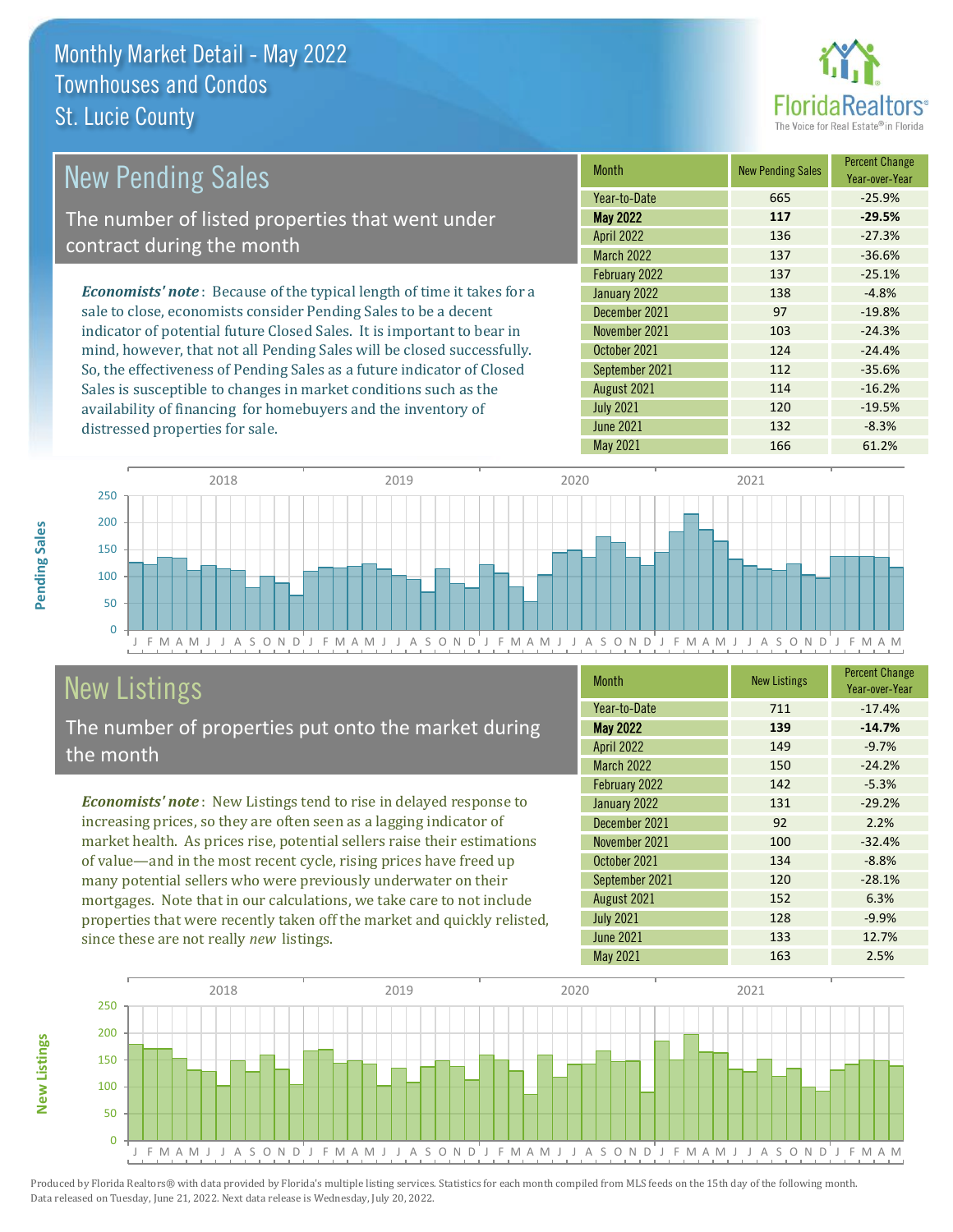distressed properties for sale.



| <b>New Pending Sales</b>                                                       | <b>Month</b>      | <b>New Pending Sales</b> | <b>Percent Change</b><br>Year-over-Year |
|--------------------------------------------------------------------------------|-------------------|--------------------------|-----------------------------------------|
|                                                                                | Year-to-Date      | 665                      | $-25.9%$                                |
| The number of listed properties that went under                                | <b>May 2022</b>   | 117                      | $-29.5%$                                |
| contract during the month                                                      | <b>April 2022</b> | 136                      | $-27.3%$                                |
|                                                                                | <b>March 2022</b> | 137                      | $-36.6%$                                |
|                                                                                | February 2022     | 137                      | $-25.1%$                                |
| <b>Economists' note</b> : Because of the typical length of time it takes for a | January 2022      | 138                      | $-4.8%$                                 |
| sale to close, economists consider Pending Sales to be a decent                | December 2021     | 97                       | $-19.8%$                                |
| indicator of potential future Closed Sales. It is important to bear in         | November 2021     | 103                      | $-24.3%$                                |
| mind, however, that not all Pending Sales will be closed successfully.         | October 2021      | 124                      | $-24.4%$                                |
| So, the effectiveness of Pending Sales as a future indicator of Closed         | September 2021    | 112                      | $-35.6%$                                |

J F M A M J J A S O N D J F M A M J J A S O N D J F M A M J J A S O N D J F M A M J J A S O N D J F M A M  $\overline{0}$ 50 100 150 200 250 2018 2019 2020 2021

# New Listings

The number of properties put onto the market during the month

Sales is susceptible to changes in market conditions such as the availability of financing for homebuyers and the inventory of

*Economists' note* : New Listings tend to rise in delayed response to increasing prices, so they are often seen as a lagging indicator of market health. As prices rise, potential sellers raise their estimations of value—and in the most recent cycle, rising prices have freed up many potential sellers who were previously underwater on their mortgages. Note that in our calculations, we take care to not include properties that were recently taken off the market and quickly relisted, since these are not really *new* listings.

| <b>Month</b>      | <b>New Listings</b> | <b>Percent Change</b><br>Year-over-Year |
|-------------------|---------------------|-----------------------------------------|
| Year-to-Date      | 711                 | $-17.4%$                                |
| <b>May 2022</b>   | 139                 | $-14.7%$                                |
| <b>April 2022</b> | 149                 | $-9.7%$                                 |
| March 2022        | 150                 | $-24.2%$                                |
| February 2022     | 142                 | $-5.3%$                                 |
| January 2022      | 131                 | $-29.2%$                                |
| December 2021     | 92                  | 2.2%                                    |
| November 2021     | 100                 | $-32.4%$                                |
| October 2021      | 134                 | $-8.8%$                                 |
| September 2021    | 120                 | $-28.1%$                                |
| August 2021       | 152                 | 6.3%                                    |
| <b>July 2021</b>  | 128                 | $-9.9%$                                 |
| June 2021         | 133                 | 12.7%                                   |
| May 2021          | 163                 | 2.5%                                    |

August 2021 114 -16.2% July 2021 **120** 120 -19.5% June 2021 **132** -8.3% May 2021 166 61.2%



Produced by Florida Realtors® with data provided by Florida's multiple listing services. Statistics for each month compiled from MLS feeds on the 15th day of the following month. Data released on Tuesday, June 21, 2022. Next data release is Wednesday, July 20, 2022.

**New Listings**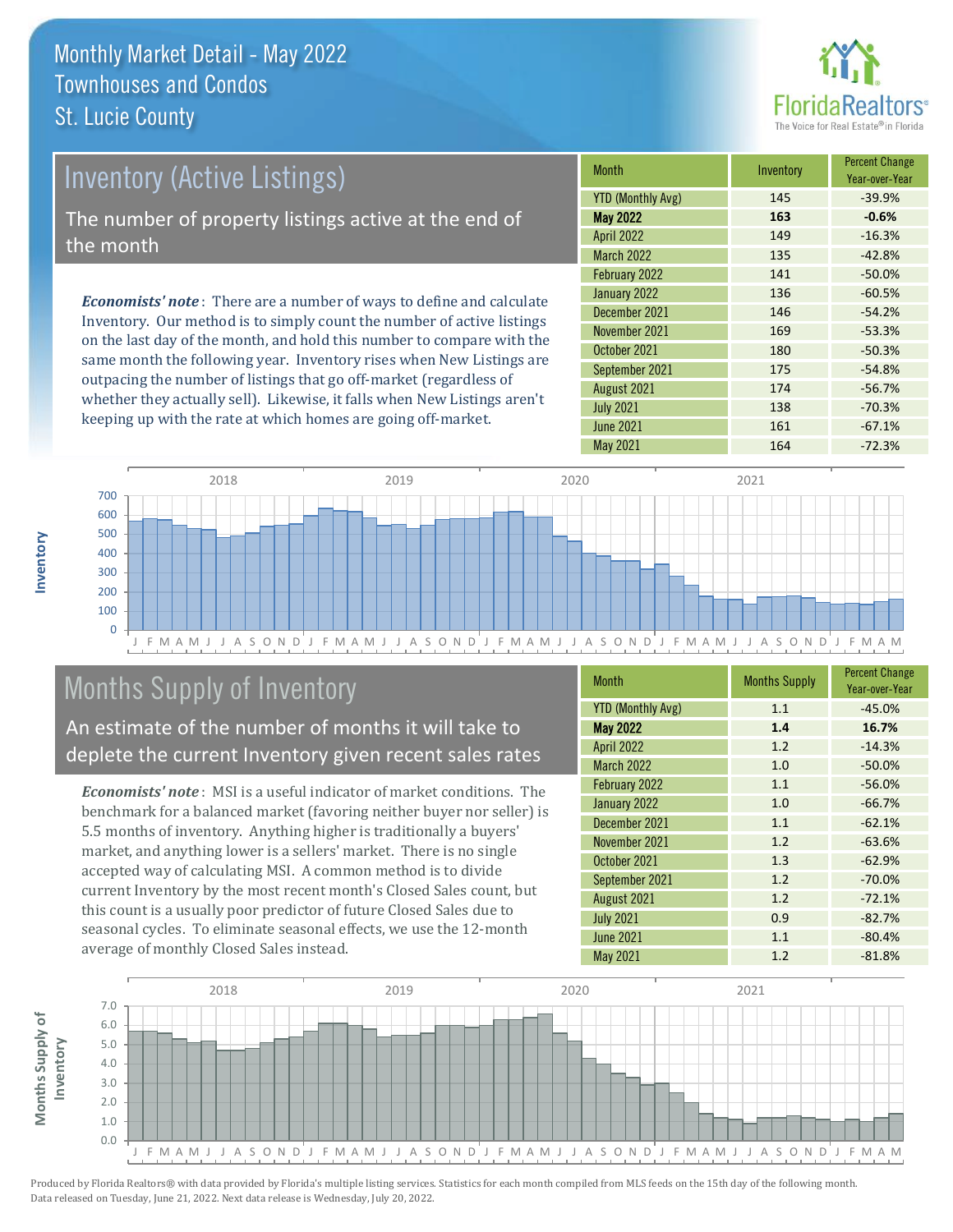

## Inventory (Active Listings) The number of property listings active at the end of the month

*Economists' note* : There are a number of ways to define and calculate Inventory. Our method is to simply count the number of active listings on the last day of the month, and hold this number to compare with the same month the following year. Inventory rises when New Listings are outpacing the number of listings that go off-market (regardless of whether they actually sell). Likewise, it falls when New Listings aren't keeping up with the rate at which homes are going off-market.

| <b>Month</b>             | Inventory | <b>Percent Change</b><br>Year-over-Year |
|--------------------------|-----------|-----------------------------------------|
| <b>YTD (Monthly Avg)</b> | 145       | $-39.9%$                                |
| <b>May 2022</b>          | 163       | $-0.6%$                                 |
| <b>April 2022</b>        | 149       | $-16.3%$                                |
| <b>March 2022</b>        | 135       | $-42.8%$                                |
| February 2022            | 141       | $-50.0%$                                |
| January 2022             | 136       | $-60.5%$                                |
| December 2021            | 146       | $-54.2%$                                |
| November 2021            | 169       | $-53.3%$                                |
| October 2021             | 180       | $-50.3%$                                |
| September 2021           | 175       | $-54.8%$                                |
| August 2021              | 174       | $-56.7%$                                |
| <b>July 2021</b>         | 138       | $-70.3%$                                |
| <b>June 2021</b>         | 161       | $-67.1%$                                |
| May 2021                 | 164       | $-72.3%$                                |



# Months Supply of Inventory

An estimate of the number of months it will take to deplete the current Inventory given recent sales rates

*Economists' note* : MSI is a useful indicator of market conditions. The benchmark for a balanced market (favoring neither buyer nor seller) is 5.5 months of inventory. Anything higher is traditionally a buyers' market, and anything lower is a sellers' market. There is no single accepted way of calculating MSI. A common method is to divide current Inventory by the most recent month's Closed Sales count, but this count is a usually poor predictor of future Closed Sales due to seasonal cycles. To eliminate seasonal effects, we use the 12-month average of monthly Closed Sales instead.

| <b>Month</b>             | <b>Months Supply</b> | <b>Percent Change</b><br>Year-over-Year |
|--------------------------|----------------------|-----------------------------------------|
| <b>YTD (Monthly Avg)</b> | 1.1                  | $-45.0%$                                |
| <b>May 2022</b>          | 1.4                  | 16.7%                                   |
| <b>April 2022</b>        | 1.2                  | $-14.3%$                                |
| <b>March 2022</b>        | 1.0                  | $-50.0%$                                |
| February 2022            | 1.1                  | $-56.0%$                                |
| January 2022             | 1.0                  | $-66.7%$                                |
| December 2021            | 1.1                  | $-62.1%$                                |
| November 2021            | 1.2                  | $-63.6%$                                |
| October 2021             | 1.3                  | $-62.9%$                                |
| September 2021           | 1.2                  | $-70.0%$                                |
| August 2021              | 1.2                  | $-72.1%$                                |
| <b>July 2021</b>         | 0.9                  | $-82.7%$                                |
| <b>June 2021</b>         | 1.1                  | $-80.4%$                                |
| May 2021                 | 1.2                  | $-81.8%$                                |

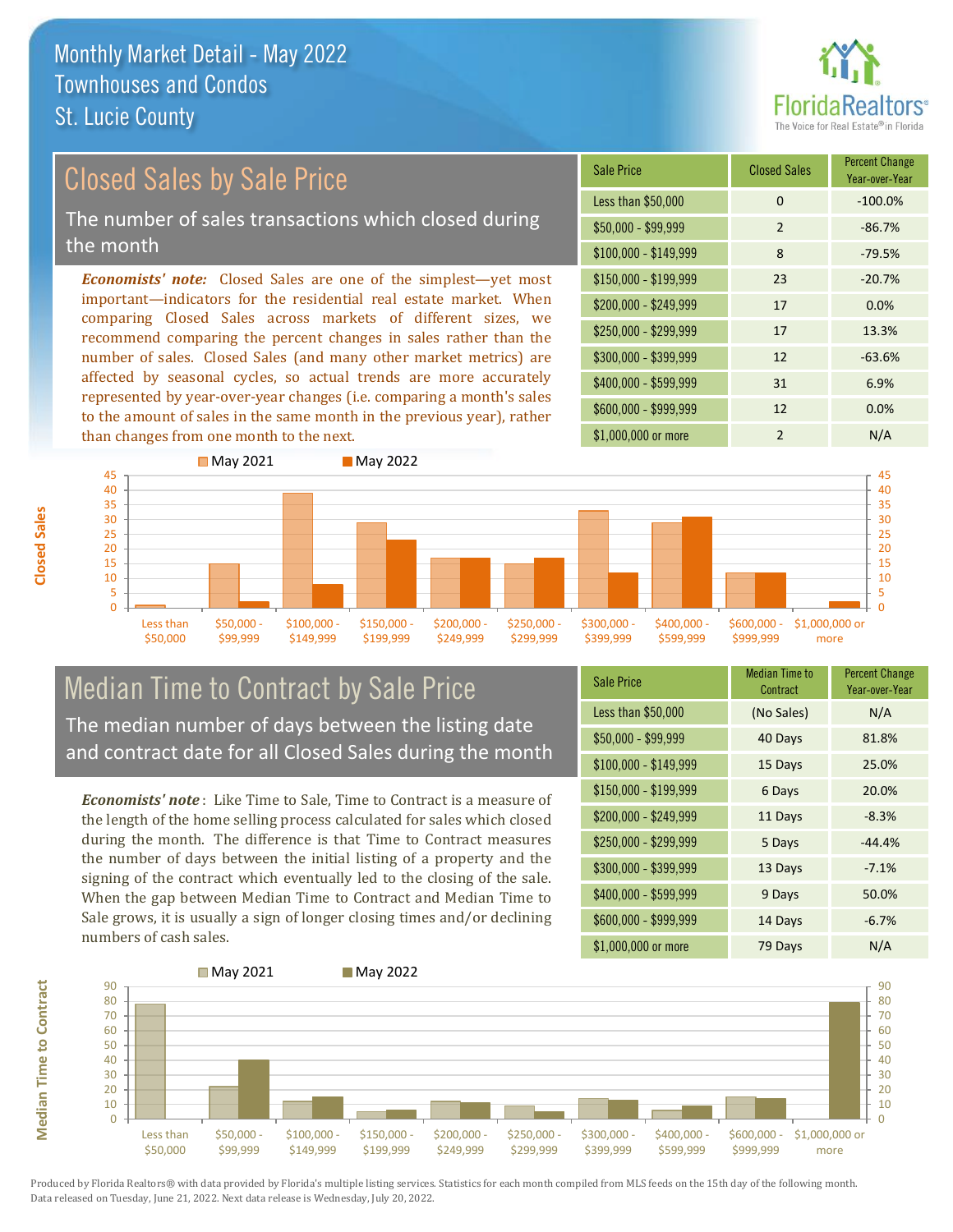

# Closed Sales by Sale Price

The number of sales transactions which closed during the month

*Economists' note:* Closed Sales are one of the simplest—yet most important—indicators for the residential real estate market. When comparing Closed Sales across markets of different sizes, we recommend comparing the percent changes in sales rather than the number of sales. Closed Sales (and many other market metrics) are affected by seasonal cycles, so actual trends are more accurately represented by year-over-year changes (i.e. comparing a month's sales to the amount of sales in the same month in the previous year), rather than changes from one month to the next.





### Median Time to Contract by Sale Price The median number of days between the listing date and contract date for all Closed Sales during the month

*Economists' note* : Like Time to Sale, Time to Contract is a measure of the length of the home selling process calculated for sales which closed during the month. The difference is that Time to Contract measures the number of days between the initial listing of a property and the signing of the contract which eventually led to the closing of the sale. When the gap between Median Time to Contract and Median Time to Sale grows, it is usually a sign of longer closing times and/or declining numbers of cash sales.

| <b>Sale Price</b>     | Median Time to<br>Contract | <b>Percent Change</b><br>Year-over-Year |
|-----------------------|----------------------------|-----------------------------------------|
| Less than \$50,000    | (No Sales)                 | N/A                                     |
| $$50,000 - $99,999$   | 40 Days                    | 81.8%                                   |
| $$100,000 - $149,999$ | 15 Days                    | 25.0%                                   |
| $$150,000 - $199,999$ | 6 Days                     | 20.0%                                   |
| \$200,000 - \$249,999 | 11 Days                    | $-8.3%$                                 |
| \$250,000 - \$299,999 | 5 Days                     | $-44.4%$                                |
| \$300,000 - \$399,999 | 13 Days                    | $-7.1%$                                 |
| \$400,000 - \$599,999 | 9 Days                     | 50.0%                                   |
| \$600,000 - \$999,999 | 14 Days                    | $-6.7%$                                 |
| \$1,000,000 or more   | 79 Days                    | N/A                                     |



Produced by Florida Realtors® with data provided by Florida's multiple listing services. Statistics for each month compiled from MLS feeds on the 15th day of the following month. Data released on Tuesday, June 21, 2022. Next data release is Wednesday, July 20, 2022.

**Median Time to Contract**

**Median Time to Contract**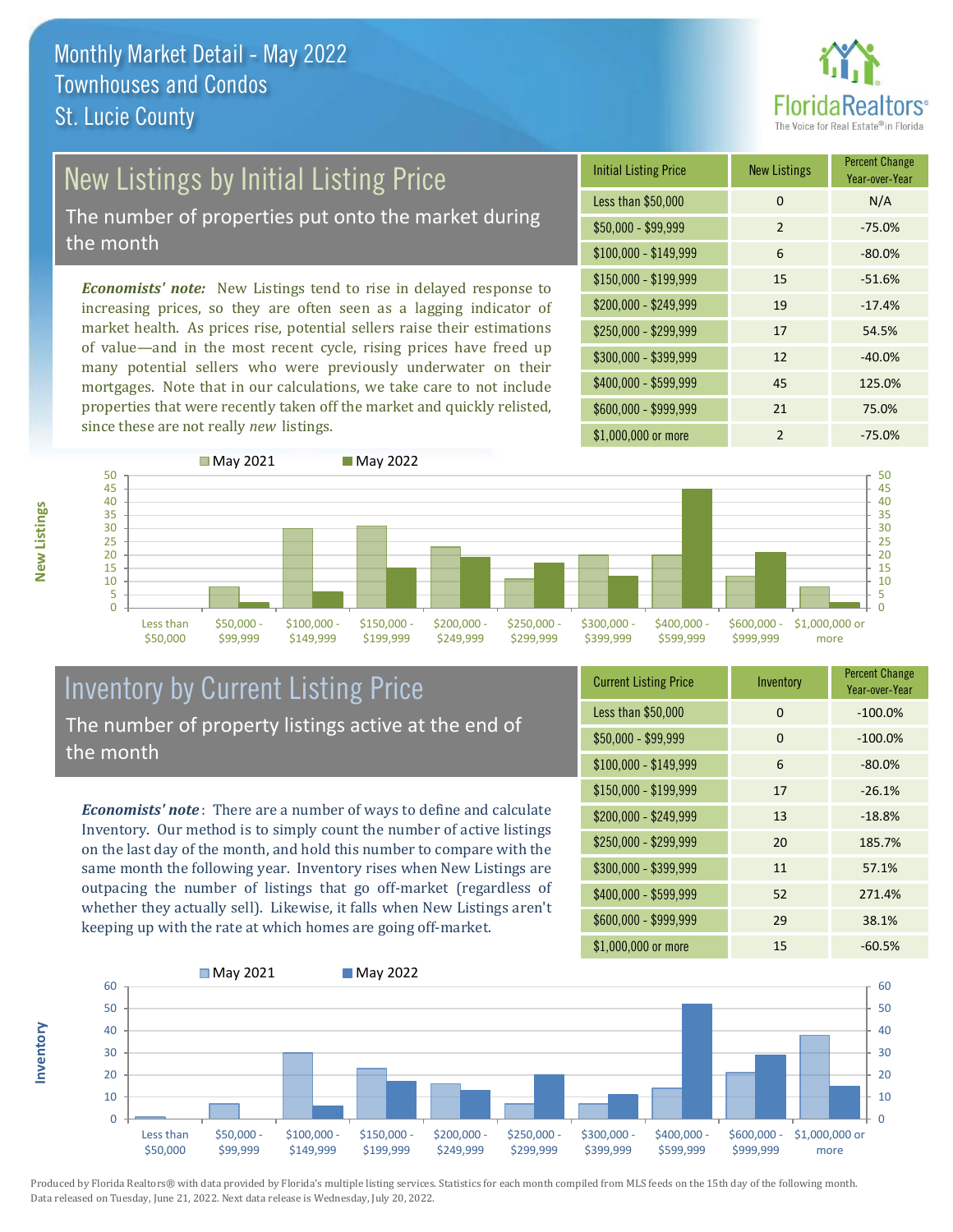

# New Listings by Initial Listing Price

The number of properties put onto the market during the month

*Economists' note:* New Listings tend to rise in delayed response to increasing prices, so they are often seen as a lagging indicator of market health. As prices rise, potential sellers raise their estimations of value—and in the most recent cycle, rising prices have freed up many potential sellers who were previously underwater on their mortgages. Note that in our calculations, we take care to not include properties that were recently taken off the market and quickly relisted, since these are not really *new* listings.

| <b>Initial Listing Price</b> | <b>New Listings</b> | <b>Percent Change</b><br>Year-over-Year |
|------------------------------|---------------------|-----------------------------------------|
| Less than \$50,000           | $\Omega$            | N/A                                     |
| $$50,000 - $99,999$          | $\overline{2}$      | $-75.0%$                                |
| $$100,000 - $149,999$        | 6                   | $-80.0%$                                |
| $$150,000 - $199,999$        | 15                  | $-51.6%$                                |
| \$200,000 - \$249,999        | 19                  | $-17.4%$                                |
| \$250,000 - \$299,999        | 17                  | 54.5%                                   |
| \$300,000 - \$399,999        | 12                  | $-40.0%$                                |
| \$400,000 - \$599,999        | 45                  | 125.0%                                  |
| \$600,000 - \$999,999        | 21                  | 75.0%                                   |
| \$1,000,000 or more          | $\mathfrak{p}$      | $-75.0%$                                |



### Inventory by Current Listing Price The number of property listings active at the end of the month

*Economists' note* : There are a number of ways to define and calculate Inventory. Our method is to simply count the number of active listings on the last day of the month, and hold this number to compare with the same month the following year. Inventory rises when New Listings are outpacing the number of listings that go off-market (regardless of whether they actually sell). Likewise, it falls when New Listings aren't keeping up with the rate at which homes are going off-market.

| <b>Current Listing Price</b> | Inventory | <b>Percent Change</b><br>Year-over-Year |
|------------------------------|-----------|-----------------------------------------|
| Less than \$50,000           | $\Omega$  | $-100.0%$                               |
| $$50,000 - $99,999$          | $\Omega$  | $-100.0%$                               |
| $$100,000 - $149,999$        | 6         | $-80.0%$                                |
| $$150,000 - $199,999$        | 17        | $-26.1%$                                |
| \$200,000 - \$249,999        | 13        | $-18.8%$                                |
| \$250,000 - \$299,999        | 20        | 185.7%                                  |
| \$300,000 - \$399,999        | 11        | 57.1%                                   |
| \$400,000 - \$599,999        | 52        | 271.4%                                  |
| \$600,000 - \$999,999        | 29        | 38.1%                                   |
| \$1,000,000 or more          | 15        | $-60.5%$                                |



Produced by Florida Realtors® with data provided by Florida's multiple listing services. Statistics for each month compiled from MLS feeds on the 15th day of the following month. Data released on Tuesday, June 21, 2022. Next data release is Wednesday, July 20, 2022.

**Inventory**